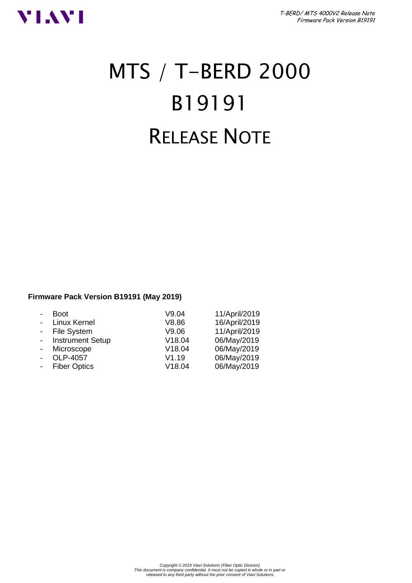

# MTS / T-BERD 2000 B19191 RELEASE NOTE

## **Firmware Pack Version B19191 (May 2019)**

| <b>Boot</b>             | V9.04  | 11/April/2019 |
|-------------------------|--------|---------------|
| Linux Kernel            | V8.86  | 16/April/2019 |
| - File System           | V9.06  | 11/April/2019 |
| <b>Instrument Setup</b> | V18.04 | 06/May/2019   |
| Microscope              | V18.04 | 06/May/2019   |
| OLP-4057                | V1.19  | 06/May/2019   |
| <b>Fiber Optics</b>     | V18.04 | 06/May/2019   |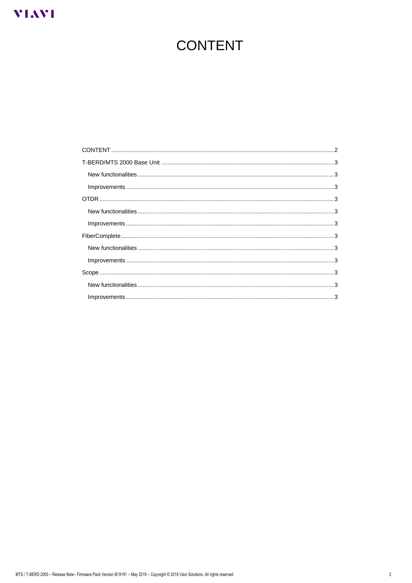# <span id="page-1-0"></span>**VIAVI**

# **CONTENT**

| $Improvements \hspace{1.5mm}.\hspace{1.5mm}.\hspace{1.5mm}.\hspace{1.5mm}.\hspace{1.5mm}.\hspace{1.5mm}.\hspace{1.5mm}.\hspace{1.5mm}.\hspace{1.5mm}.\hspace{1.5mm}.\hspace{1.5mm}.\hspace{1.5mm}.\hspace{1.5mm}.\hspace{1.5mm}.\hspace{1.5mm}.\hspace{1.5mm}.\hspace{1.5mm}.\hspace{1.5mm}.\hspace{1.5mm}.\hspace{1.5mm}.\hspace{1.5mm}.\hspace{1.5mm}.\hspace{1.5mm}.\hspace{1.5mm}.\$ |  |
|------------------------------------------------------------------------------------------------------------------------------------------------------------------------------------------------------------------------------------------------------------------------------------------------------------------------------------------------------------------------------------------|--|